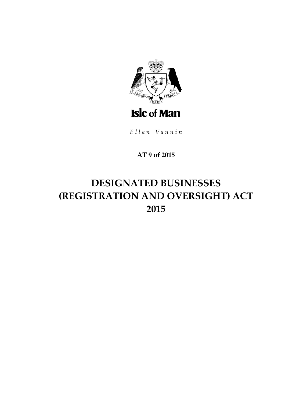

Ellan Vannin

# **AT 9 of 2015**

# **DESIGNATED BUSINESSES (REGISTRATION AND OVERSIGHT) ACT 2015**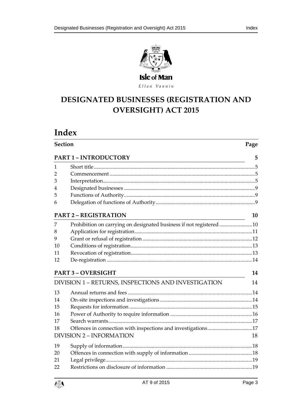

Ellan Vannin

# **DESIGNATED BUSINESSE S (REGISTRATION AND OVERSIGHT) ACT 2015**

# **Index**

| <b>Section</b> |                                                                    |    |
|----------------|--------------------------------------------------------------------|----|
|                | <b>PART 1-INTRODUCTORY</b>                                         | 5  |
| 1              |                                                                    |    |
| 2              |                                                                    |    |
| 3              |                                                                    |    |
| 4              |                                                                    |    |
| 5              |                                                                    |    |
| 6              |                                                                    |    |
|                | <b>PART 2 - REGISTRATION</b>                                       | 10 |
| 7              | Prohibition on carrying on designated business if not registered10 |    |
| 8              |                                                                    |    |
| 9              |                                                                    |    |
| 10             |                                                                    |    |
| 11             |                                                                    |    |
| 12             |                                                                    |    |
|                | <b>PART 3-OVERSIGHT</b>                                            | 14 |
|                | DIVISION 1 - RETURNS, INSPECTIONS AND INVESTIGATION                | 14 |
| 13             |                                                                    |    |
| 14             |                                                                    |    |
| 15             |                                                                    |    |
| 16             |                                                                    |    |
| 17             |                                                                    |    |
| 18             | Offences in connection with inspections and investigations17       |    |
|                | <b>DIVISION 2 - INFORMATION</b>                                    | 18 |
| 19             |                                                                    |    |
| 20             |                                                                    |    |
| 21             |                                                                    |    |
| 22             |                                                                    |    |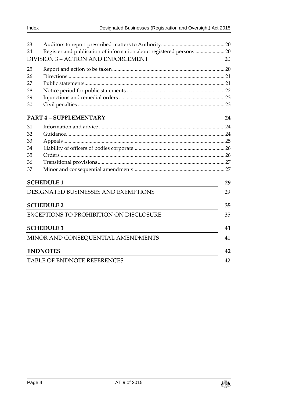| 23 |                                                                      |    |  |
|----|----------------------------------------------------------------------|----|--|
| 24 | Register and publication of information about registered persons  20 |    |  |
|    | <b>DIVISION 3 - ACTION AND ENFORCEMENT</b>                           | 20 |  |
| 25 |                                                                      |    |  |
| 26 |                                                                      |    |  |
| 27 |                                                                      |    |  |
| 28 |                                                                      |    |  |
| 29 |                                                                      |    |  |
| 30 |                                                                      |    |  |
|    | <b>PART 4 - SUPPLEMENTARY</b>                                        | 24 |  |
| 31 |                                                                      |    |  |
| 32 |                                                                      |    |  |
| 33 |                                                                      |    |  |
| 34 |                                                                      |    |  |
| 35 |                                                                      |    |  |
| 36 |                                                                      |    |  |
| 37 |                                                                      |    |  |
|    | <b>SCHEDULE 1</b>                                                    | 29 |  |
|    | DESIGNATED BUSINESSES AND EXEMPTIONS                                 | 29 |  |
|    | <b>SCHEDULE 2</b>                                                    | 35 |  |
|    | EXCEPTIONS TO PROHIBITION ON DISCLOSURE                              | 35 |  |
|    | <b>SCHEDULE 3</b>                                                    | 41 |  |
|    | MINOR AND CONSEQUENTIAL AMENDMENTS                                   | 41 |  |
|    | <b>ENDNOTES</b>                                                      | 42 |  |
|    | <b>TABLE OF ENDNOTE REFERENCES</b>                                   |    |  |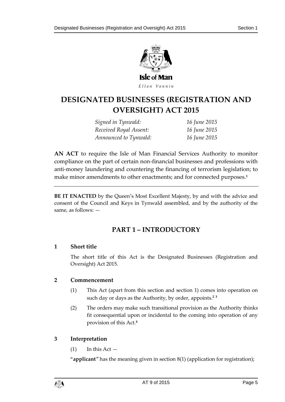

Ellan Vannin

# **DESIGNATED BUSINESSE S (REGISTRATION AND OVERSIGHT) ACT 2015**

*Signed in Tynwald: 16 June 2015 Received Royal Assent: 16 June 2015 Announced to Tynwald: 16 June 2015*

**AN ACT** to require the Isle of Man Financial Services Authority to monitor compliance on the part of certain non-financial businesses and professions with anti-money laundering and countering the financing of terrorism legislation; to make minor amendments to other enactments; and for connected purposes.**<sup>1</sup>**

<span id="page-4-0"></span>**BE IT ENACTED** by the Queen's Most Excellent Majesty, by and with the advice and consent of the Council and Keys in Tynwald assembled, and by the authority of the same, as follows: —

# **PART 1 – INTRODUCTORY**

# <span id="page-4-1"></span>**1 Short title**

The short title of this Act is the Designated Businesses (Registration and Oversight) Act 2015.

# <span id="page-4-2"></span>**2 Commencement**

- (1) This Act (apart from this section and section [1\)](#page-4-1) comes into operation on such day or days as the Authority, by order, appoints.**<sup>2</sup> <sup>3</sup>**
- (2) The orders may make such transitional provision as the Authority thinks fit consequential upon or incidental to the coming into operation of any provision of this Act.**<sup>4</sup>**

# <span id="page-4-3"></span>**3 Interpretation**

 $(1)$  In this Act  $-$ 

"**applicant**" has the meaning given in section [8\(1\)](#page-10-1) (application for registration);

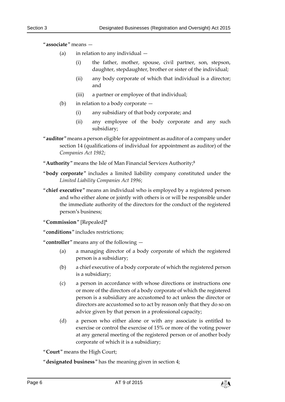"**associate**" means —

- (a) in relation to any individual
	- (i) the father, mother, spouse, civil partner, son, stepson, daughter, stepdaughter, brother or sister of the individual;
	- (ii) any body corporate of which that individual is a director; and
	- (iii) a partner or employee of that individual;
- (b) in relation to a body corporate
	- (i) any subsidiary of that body corporate; and
	- (ii) any employee of the body corporate and any such subsidiary;
- "**auditor**" means a person eligible for appointment as auditor of a company under section 14 (qualifications of individual for appointment as auditor) of the *Companies Act 1982*;
- "**Authority**" means the Isle of Man Financial Services Authority;**<sup>5</sup>**
- "**body corporate**" includes a limited liability company constituted under the *Limited Liability Companies Act 1996*;
- "**chief executive**" means an individual who is employed by a registered person and who either alone or jointly with others is or will be responsible under the immediate authority of the directors for the conduct of the registered person's business;
- "**Commission**" [Repealed]**<sup>6</sup>**
- "**conditions**" includes restrictions;

"**controller**" means any of the following —

- (a) a managing director of a body corporate of which the registered person is a subsidiary;
- (b) a chief executive of a body corporate of which the registered person is a subsidiary;
- (c) a person in accordance with whose directions or instructions one or more of the directors of a body corporate of which the registered person is a subsidiary are accustomed to act unless the director or directors are accustomed so to act by reason only that they do so on advice given by that person in a professional capacity;
- (d) a person who either alone or with any associate is entitled to exercise or control the exercise of 15% or more of the voting power at any general meeting of the registered person or of another body corporate of which it is a subsidiary;

"**Court**" means the High Court;

"**designated business**" has the meaning given in section [4;](#page-8-0)

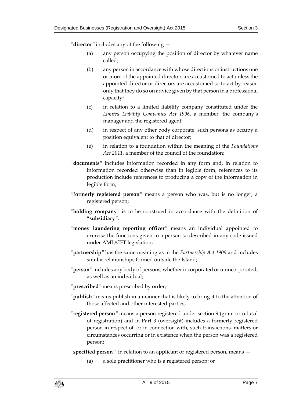"**director**" includes any of the following —

- (a) any person occupying the position of director by whatever name called;
- (b) any person in accordance with whose directions or instructions one or more of the appointed directors are accustomed to act unless the appointed director or directors are accustomed so to act by reason only that they do so on advice given by that person in a professional capacity;
- (c) in relation to a limited liability company constituted under the *Limited Liability Companies Act 1996*, a member, the company's manager and the registered agent;
- (d) in respect of any other body corporate, such persons as occupy a position equivalent to that of director;
- (e) in relation to a foundation within the meaning of the *Foundations Act 2011*, a member of the council of the foundation;
- "**documents**" includes information recorded in any form and, in relation to information recorded otherwise than in legible form, references to its production include references to producing a copy of the information in legible form;
- "**formerly registered person**" means a person who was, but is no longer, a registered person;
- "**holding company**" is to be construed in accordance with the definition of "**subsidiary**";
- "**money laundering reporting officer**" means an individual appointed to exercise the functions given to a person so described in any code issued under AML/CFT legislation;
- "**partnership**" has the same meaning as in the *Partnership Act 1909* and includes similar relationships formed outside the Island;
- "**person**" includes any body of persons, whether incorporated or unincorporated, as well as an individual;
- "**prescribed**" means prescribed by order;
- "**publish**" means publish in a manner that is likely to bring it to the attention of those affected and other interested parties;
- "**registered person**" means a person registered under section [9](#page-11-0) (grant or refusal of registration) and in Part 3 (oversight) includes a formerly registered person in respect of, or in connection with, such transactions, matters or circumstances occurring or in existence when the person was a registered person;
- "**specified person**", in relation to an applicant or registered person, means
	- (a) a sole practitioner who is a registered person; or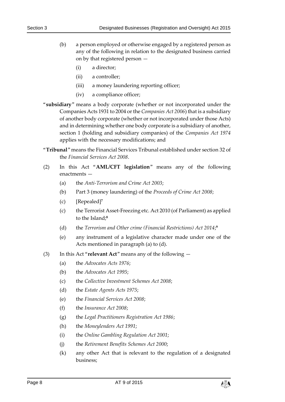- (b) a person employed or otherwise engaged by a registered person as any of the following in relation to the designated business carried on by that registered person —
	- (i) a director;
	- (ii) a controller;
	- (iii) a money laundering reporting officer;
	- (iv) a compliance officer;
- "**subsidiary**" means a body corporate (whether or not incorporated under the Companies Acts 1931 to 2004 or the *Companies Act 2006*) that is a subsidiary of another body corporate (whether or not incorporated under those Acts) and in determining whether one body corporate is a subsidiary of another, section 1 (holding and subsidiary companies) of the *Companies Act 1974* applies with the necessary modifications; and
- "**Tribunal**" means the Financial Services Tribunal established under section 32 of the *Financial Services Act 2008*.
- <span id="page-7-0"></span>(2) In this Act "**AML/CFT legislation**" means any of the following enactments —
	- (a) the *Anti-Terrorism and Crime Act 2003*;
	- (b) Part 3 (money laundering) of the *Proceeds of Crime Act 2008*;
	- (c) [Repealed]**<sup>7</sup>**
	- (c) the Terrorist Asset-Freezing etc. Act 2010 (of Parliament) as applied to the Island;**<sup>8</sup>**
	- (d) the *Terrorism and Other crime (Financial Restrictions) Act 2014*; **9**
	- (e) any instrument of a legislative character made under one of the Acts mentioned in paragraph (a) to (d).
- <span id="page-7-1"></span>(3) In this Act "**relevant Act**" means any of the following —
	- (a) the *Advocates Acts 1976*;
	- (b) the *Advocates Act 1995*;
	- (c) the *Collective Investment Schemes Act 2008*;
	- (d) the *Estate Agents Acts 1975*;
	- (e) the *Financial Services Act 2008*;
	- (f) the *Insurance Act 2008*;
	- (g) the *Legal Practitioners Registration Act 1986*;
	- (h) the *Moneylenders Act 1991*;
	- (i) the *Online Gambling Regulation Act 2001*;
	- (j) the *Retirement Benefits Schemes Act 2000*;
	- (k) any other Act that is relevant to the regulation of a designated business;

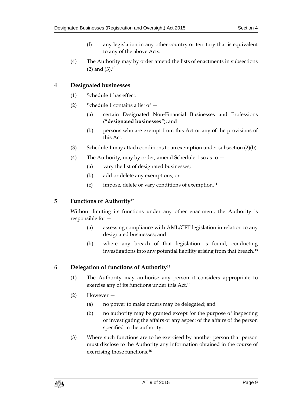- (l) any legislation in any other country or territory that is equivalent to any of the above Acts.
- (4) The Authority may by order amend the lists of enactments in subsections [\(2\)](#page-7-0) and [\(3\).](#page-7-1) **10**

# <span id="page-8-0"></span>**4 Designated businesses**

- (1) Schedule 1 has effect.
- (2) Schedule 1 contains a list of
	- (a) certain Designated Non-Financial Businesses and Professions ("**designated businesses**"); and
	- (b) persons who are exempt from this Act or any of the provisions of this Act.
- (3) Schedule 1 may attach conditions to an exemption under subsection (2)(b).
- (4) The Authority, may by order, amend Schedule 1 so as to
	- (a) vary the list of designated businesses;
	- (b) add or delete any exemptions; or
	- (c) impose, delete or vary conditions of exemption. **11**

# <span id="page-8-1"></span>**5 Functions of Authority**<sup>12</sup>

Without limiting its functions under any other enactment, the Authority is responsible for —

- (a) assessing compliance with AML/CFT legislation in relation to any designated businesses; and
- (b) where any breach of that legislation is found, conducting investigations into any potential liability arising from that breach.**<sup>13</sup>**

# <span id="page-8-3"></span><span id="page-8-2"></span>**6 Delegation of functions of Authority**<sup>14</sup>

- (1) The Authority may authorise any person it considers appropriate to exercise any of its functions under this Act.**<sup>15</sup>**
- (2) However
	- (a) no power to make orders may be delegated; and
	- (b) no authority may be granted except for the purpose of inspecting or investigating the affairs or any aspect of the affairs of the person specified in the authority.
- <span id="page-8-4"></span>(3) Where such functions are to be exercised by another person that person must disclose to the Authority any information obtained in the course of exercising those functions.**16**

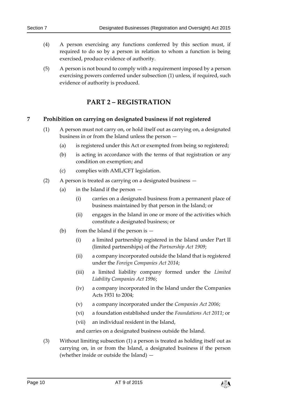- (4) A person exercising any functions conferred by this section must, if required to do so by a person in relation to whom a function is being exercised, produce evidence of authority.
- <span id="page-9-0"></span>(5) A person is not bound to comply with a requirement imposed by a person exercising powers conferred under subsection [\(1\)](#page-8-3) unless, if required, such evidence of authority is produced.

# **PART 2 – REGISTRATION**

## <span id="page-9-2"></span><span id="page-9-1"></span>**7 Prohibition on carrying on designated business if not registered**

- (1) A person must not carry on, or hold itself out as carrying on, a designated business in or from the Island unless the person —
	- (a) is registered under this Act or exempted from being so registered;
	- (b) is acting in accordance with the terms of that registration or any condition on exemption; and
	- (c) complies with AML/CFT legislation.
- (2) A person is treated as carrying on a designated business
	- (a) in the Island if the person
		- (i) carries on a designated business from a permanent place of business maintained by that person in the Island; or
		- (ii) engages in the Island in one or more of the activities which constitute a designated business; or
	- (b) from the Island if the person is  $-$ 
		- (i) a limited partnership registered in the Island under Part II (limited partnerships) of the *Partnership Act 1909*;
		- (ii) a company incorporated outside the Island that is registered under the *Foreign Companies Act 2014*;
		- (iii) a limited liability company formed under the *Limited Liability Companies Act 1996*;
		- (iv) a company incorporated in the Island under the Companies Acts 1931 to 2004;
		- (v) a company incorporated under the *Companies Act 2006*;
		- (vi) a foundation established under the *Foundations Act 2011*; or
		- (vii) an individual resident in the Island,

and carries on a designated business outside the Island.

(3) Without limiting subsection [\(1\)](#page-9-2) a person is treated as holding itself out as carrying on, in or from the Island, a designated business if the person (whether inside or outside the Island) —

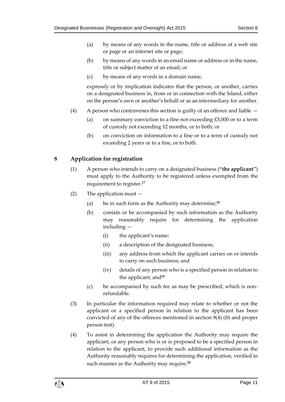- (a) by means of any words in the name, title or address of a web site or page or an internet site or page;
- (b) by means of any words in an email name or address or in the name, title or subject matter of an email; or
- (c) by means of any words in a domain name,

expressly or by implication indicates that the person, or another, carries on a designated business in, from or in connection with the Island, either on the person's own or another's behalf or as an intermediary for another.

- (4) A person who contravenes this section is guilty of an offence and liable
	- (a) on summary conviction to a fine not exceeding  $£5,000$  or to a term of custody not exceeding 12 months, or to both; or
	- (b) on conviction on information to a fine or to a term of custody not exceeding 2 years or to a fine, or to both.

## <span id="page-10-1"></span><span id="page-10-0"></span>**8 Application for registration**

- (1) A person who intends to carry on a designated business ("**the applicant**") must apply to the Authority to be registered unless exempted from the requirement to register.**<sup>17</sup>**
- (2) The application must
	- (a) be in such form as the Authority may determine;**<sup>18</sup>**
	- (b) contain or be accompanied by such information as the Authority may reasonably require for determining the application including —
		- (i) the applicant's name;
		- (ii) a description of the designated business;
		- (iii) any address from which the applicant carries on or intends to carry on such business; and
		- (iv) details of any person who is a specified person in relation to the applicant; and**<sup>19</sup>**
	- (c) be accompanied by such fee as may be prescribed, which is nonrefundable.
- (3) In particular the information required may relate to whether or not the applicant or a specified person in relation to the applicant has been convicted of any of the offences mentioned in section [9\(4\)](#page-11-1) (fit and proper person test).
- (4) To assist in determining the application the Authority may require the applicant, or any person who is or is proposed to be a specified person in relation to the applicant, to provide such additional information as the Authority reasonably requires for determining the application, verified in such manner as the Authority may require.**<sup>20</sup>**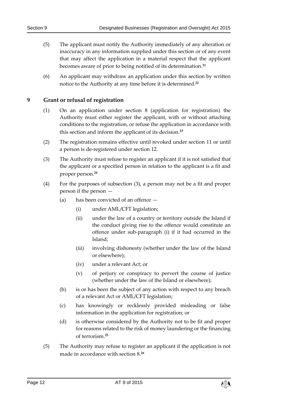- (5) The applicant must notify the Authority immediately of any alteration or inaccuracy in any information supplied under this section or of any event that may affect the application in a material respect that the applicant becomes aware of prior to being notified of its determination.**<sup>21</sup>**
- (6) An applicant may withdraw an application under this section by written notice to the Authority at any time before it is determined.**<sup>22</sup>**

## <span id="page-11-0"></span>**9 Grant or refusal of registration**

- (1) On an application under section [8](#page-10-0) (application for registration) the Authority must either register the applicant, with or without attaching conditions to the registration, or refuse the application in accordance with this section and inform the applicant of its decision.**<sup>23</sup>**
- (2) The registration remains effective until revoked under section [11](#page-12-1) or until a person is de-registered under sectio[n 12.](#page-13-0)
- <span id="page-11-2"></span>(3) The Authority must refuse to register an applicant if it is not satisfied that the applicant or a specified person in relation to the applicant is a fit and proper person.**<sup>24</sup>**
- <span id="page-11-1"></span>(4) For the purposes of subsection [\(3\),](#page-11-2) a person may not be a fit and proper person if the person —
	- (a) has been convicted of an offence
		- (i) under AML/CFT legislation;
		- (ii) under the law of a country or territory outside the Island if the conduct giving rise to the offence would constitute an offence under sub-paragraph (i) if it had occurred in the Island;
		- (iii) involving dishonesty (whether under the law of the Island or elsewhere);
		- (iv) under a relevant Act; or
		- (v) of perjury or conspiracy to pervert the course of justice (whether under the law of the Island or elsewhere);
	- (b) is or has been the subject of any action with respect to any breach of a relevant Act or AML/CFT legislation;
	- (c) has knowingly or recklessly provided misleading or false information in the application for registration; or
	- (d) is otherwise considered by the Authority not to be fit and proper for reasons related to the risk of money laundering or the financing of terrorism.**<sup>25</sup>**
- (5) The Authority may refuse to register an applicant if the application is not made in accordance with section [8.](#page-10-0) **26**

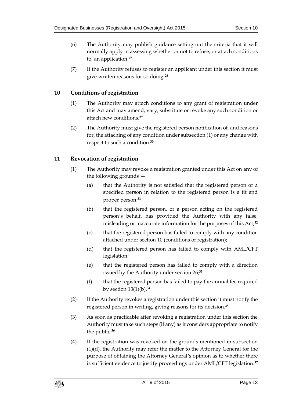- (6) The Authority may publish guidance setting out the criteria that it will normally apply in assessing whether or not to refuse, or attach conditions to, an application.**<sup>27</sup>**
- (7) If the Authority refuses to register an applicant under this section it must give written reasons for so doing.**<sup>28</sup>**

# <span id="page-12-2"></span><span id="page-12-0"></span>**10 Conditions of registration**

- (1) The Authority may attach conditions to any grant of registration under this Act and may amend, vary, substitute or revoke any such condition or attach new conditions.**<sup>29</sup>**
- (2) The Authority must give the registered person notification of, and reasons for, the attaching of any condition under subsectio[n \(1\)](#page-12-2) or any change with respect to such a condition.**<sup>30</sup>**

# <span id="page-12-3"></span><span id="page-12-1"></span>**11 Revocation of registration**

- (1) The Authority may revoke a registration granted under this Act on any of the following grounds —
	- (a) that the Authority is not satisfied that the registered person or a specified person in relation to the registered person is a fit and proper person;**<sup>31</sup>**
	- (b) that the registered person, or a person acting on the registered person's behalf, has provided the Authority with any false, misleading or inaccurate information for the purposes of this Act;**<sup>32</sup>**
	- (c) that the registered person has failed to comply with any condition attached under section [10](#page-12-0) (conditions of registration);
	- (d) that the registered person has failed to comply with AML/CFT legislation;
	- (e) that the registered person has failed to comply with a direction issued by the Authority under section [26;](#page-20-0) **33**
	- (f) that the registered person has failed to pay the annual fee required by section [13\(1\)\(](#page-13-5)b).**<sup>34</sup>**
- (2) If the Authority revokes a registration under this section it must notify the registered person in writing, giving reasons for its decision.**<sup>35</sup>**
- (3) As soon as practicable after revoking a registration under this section the Authority must take such steps (if any) as it considers appropriate to notify the public.**<sup>36</sup>**
- (4) If the registration was revoked on the grounds mentioned in subsection [\(1\)\(](#page-12-3)d), the Authority may refer the matter to the Attorney General for the purpose of obtaining the Attorney General's opinion as to whether there is sufficient evidence to justify proceedings under AML/CFT legislation. **37**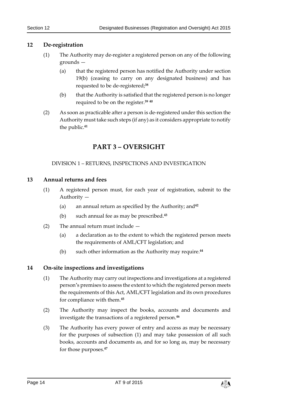## <span id="page-13-8"></span><span id="page-13-0"></span>**12 De-registration**

- (1) The Authority may de-register a registered person on any of the following grounds —
	- (a) that the registered person has notified the Authority under section [19\(](#page-17-1)b) (ceasing to carry on any designated business) and has requested to be de-registered;**<sup>38</sup>**
	- (b) that the Authority is satisfied that the registered person is no longer required to be on the register.**<sup>39</sup> <sup>40</sup>**
- <span id="page-13-1"></span>(2) As soon as practicable after a person is de-registered under this section the Authority must take such steps (if any) as it considers appropriate to notify the public.**<sup>41</sup>**

# **PART 3 – OVERSIGHT**

#### DIVISION 1 – RETURNS, INSPECTIONS AND INVESTIGATION

#### <span id="page-13-5"></span><span id="page-13-3"></span><span id="page-13-2"></span>**13 Annual returns and fees**

- (1) A registered person must, for each year of registration, submit to the Authority —
	- (a) an annual return as specified by the Authority; and**<sup>42</sup>**
	- (b) such annual fee as may be prescribed.**<sup>43</sup>**
- (2) The annual return must include
	- (a) a declaration as to the extent to which the registered person meets the requirements of AML/CFT legislation; and
	- (b) such other information as the Authority may require.**<sup>44</sup>**

## <span id="page-13-6"></span><span id="page-13-4"></span>**14 On-site inspections and investigations**

- (1) The Authority may carry out inspections and investigations at a registered person's premises to assess the extent to which the registered person meets the requirements of this Act, AML/CFT legislation and its own procedures for compliance with them.**<sup>45</sup>**
- (2) The Authority may inspect the books, accounts and documents and investigate the transactions of a registered person.**<sup>46</sup>**
- <span id="page-13-7"></span>(3) The Authority has every power of entry and access as may be necessary for the purposes of subsection [\(1\)](#page-13-6) and may take possession of all such books, accounts and documents as, and for so long as, may be necessary for those purposes.**47**

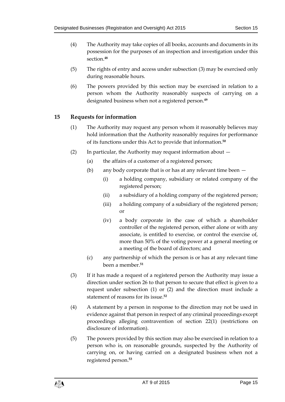- (4) The Authority may take copies of all books, accounts and documents in its possession for the purposes of an inspection and investigation under this section.**<sup>48</sup>**
- (5) The rights of entry and access under subsection [\(3\)](#page-13-7) may be exercised only during reasonable hours.
- (6) The powers provided by this section may be exercised in relation to a person whom the Authority reasonably suspects of carrying on a designated business when not a registered person.**<sup>49</sup>**

# <span id="page-14-1"></span><span id="page-14-0"></span>**15 Requests for information**

- (1) The Authority may request any person whom it reasonably believes may hold information that the Authority reasonably requires for performance of its functions under this Act to provide that information.**<sup>50</sup>**
- <span id="page-14-2"></span>(2) In particular, the Authority may request information about —
	- (a) the affairs of a customer of a registered person;
	- (b) any body corporate that is or has at any relevant time been
		- (i) a holding company, subsidiary or related company of the registered person;
		- (ii) a subsidiary of a holding company of the registered person;
		- (iii) a holding company of a subsidiary of the registered person; or
		- (iv) a body corporate in the case of which a shareholder controller of the registered person, either alone or with any associate, is entitled to exercise, or control the exercise of, more than 50% of the voting power at a general meeting or a meeting of the board of directors; and
	- (c) any partnership of which the person is or has at any relevant time been a member.**<sup>51</sup>**
- (3) If it has made a request of a registered person the Authority may issue a direction under section [26](#page-20-0) to that person to secure that effect is given to a request under subsection [\(1\)](#page-14-1) or [\(2\)](#page-14-2) and the direction must include a statement of reasons for its issue.**<sup>52</sup>**
- (4) A statement by a person in response to the direction may not be used in evidence against that person in respect of any criminal proceedings except proceedings alleging contravention of section [22\(1\)](#page-18-2) (restrictions on disclosure of information).
- (5) The powers provided by this section may also be exercised in relation to a person who is, on reasonable grounds, suspected by the Authority of carrying on, or having carried on a designated business when not a registered person.**53**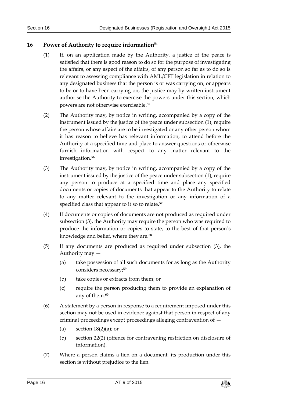## <span id="page-15-1"></span><span id="page-15-0"></span>**16 Power of Authority to require information**<sup>54</sup>

- (1) If, on an application made by the Authority, a justice of the peace is satisfied that there is good reason to do so for the purpose of investigating the affairs, or any aspect of the affairs, of any person so far as to do so is relevant to assessing compliance with AML/CFT legislation in relation to any designated business that the person is or was carrying on, or appears to be or to have been carrying on, the justice may by written instrument authorise the Authority to exercise the powers under this section, which powers are not otherwise exercisable.**<sup>55</sup>**
- (2) The Authority may, by notice in writing, accompanied by a copy of the instrument issued by the justice of the peace under subsection [\(1\),](#page-15-1) require the person whose affairs are to be investigated or any other person whom it has reason to believe has relevant information, to attend before the Authority at a specified time and place to answer questions or otherwise furnish information with respect to any matter relevant to the investigation.**<sup>56</sup>**
- <span id="page-15-2"></span>(3) The Authority may, by notice in writing, accompanied by a copy of the instrument issued by the justice of the peace under subsection [\(1\),](#page-15-1) require any person to produce at a specified time and place any specified documents or copies of documents that appear to the Authority to relate to any matter relevant to the investigation or any information of a specified class that appear to it so to relate.**<sup>57</sup>**
- (4) If documents or copies of documents are not produced as required under subsectio[n \(3\),](#page-15-2) the Authority may require the person who was required to produce the information or copies to state, to the best of that person's knowledge and belief, where they are.**<sup>58</sup>**
- (5) If any documents are produced as required under subsection [\(3\),](#page-15-2) the Authority may —
	- (a) take possession of all such documents for as long as the Authority considers necessary;**<sup>59</sup>**
	- (b) take copies or extracts from them; or
	- (c) require the person producing them to provide an explanation of any of them.**<sup>60</sup>**
- (6) A statement by a person in response to a requirement imposed under this section may not be used in evidence against that person in respect of any criminal proceedings except proceedings alleging contravention of —
	- (a) section  $18(2)(a)$ ; or
	- (b) section [22\(2\)](#page-18-3) (offence for contravening restriction on disclosure of information).
- (7) Where a person claims a lien on a document, its production under this section is without prejudice to the lien.

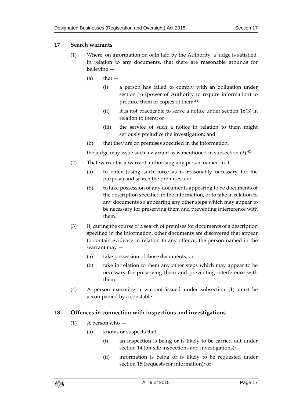## <span id="page-16-0"></span>**17 Search warrants**

- (1) Where, on information on oath laid by the Authority, a judge is satisfied, in relation to any documents, that there are reasonable grounds for believing —
	- $(a)$  that  $-$ 
		- (i) a person has failed to comply with an obligation under section [16](#page-15-0) (power of Authority to require information) to produce them or copies of them;**<sup>61</sup>**
		- (ii) it is not practicable to serve a notice under section  $16(3)$  in relation to them; or
		- (iii) the service of such a notice in relation to them might seriously prejudice the investigation; and
	- (b) that they are on premises specified in the information,

the judge may issue such a warrant as is mentioned in subsection [\(2\).](#page-16-2) **62**

- <span id="page-16-2"></span>(2) That warrant is a warrant authorising any person named in it —
	- (a) to enter (using such force as is reasonably necessary for the purpose) and search the premises; and
	- (b) to take possession of any documents appearing to be documents of the description specified in the information, or to take in relation to any documents so appearing any other steps which may appear to be necessary for preserving them and preventing interference with them.
- <span id="page-16-3"></span>(3) If, during the course of a search of premises for documents of a description specified in the information, other documents are discovered that appear to contain evidence in relation to any offence, the person named in the warrant may —
	- (a) take possession of those documents; or
	- (b) take in relation to them any other steps which may appear to be necessary for preserving them and preventing interference with them.
- (4) A person executing a warrant issued under subsection (1) must be accompanied by a constable.

# <span id="page-16-1"></span>**18 Offences in connection with inspections and investigations**

- (1) A person who
	- (a) knows or suspects that
		- (i) an inspection is being or is likely to be carried out under section [14](#page-13-4) (on-site inspections and investigations);
		- (ii) information is being or is likely to be requested under section [15](#page-14-0) (requests for information); or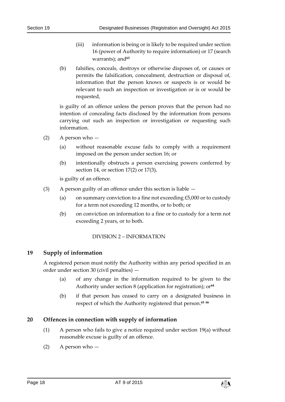- (iii) information is being or is likely to be required under section [16](#page-15-0) (power of Authority to require information) o[r 17](#page-16-0) (search warrants); and<sup>63</sup>
- (b) falsifies, conceals, destroys or otherwise disposes of, or causes or permits the falsification, concealment, destruction or disposal of, information that the person knows or suspects is or would be relevant to such an inspection or investigation or is or would be requested,

is guilty of an offence unless the person proves that the person had no intention of concealing facts disclosed by the information from persons carrying out such an inspection or investigation or requesting such information.

- <span id="page-17-3"></span> $(2)$  A person who  $-$ 
	- (a) without reasonable excuse fails to comply with a requirement imposed on the person under section [16;](#page-15-0) or
	- (b) intentionally obstructs a person exercising powers conferred by section [14,](#page-13-4) or section [17\(2\)](#page-16-2) or [17\(3\),](#page-16-3)

is guilty of an offence.

- (3) A person guilty of an offence under this section is liable
	- (a) on summary conviction to a fine not exceeding  $£5,000$  or to custody for a term not exceeding 12 months, or to both; or
	- (b) on conviction on information to a fine or to custody for a term not exceeding 2 years, or to both.

#### DIVISION 2 – INFORMATION

## <span id="page-17-1"></span><span id="page-17-0"></span>**19 Supply of information**

A registered person must notify the Authority within any period specified in an order under section [30](#page-22-1) (civil penalties) —

- (a) of any change in the information required to be given to the Authority under section [8](#page-10-0) (application for registration); or<sup>64</sup>
- (b) if that person has ceased to carry on a designated business in respect of which the Authority registered that person.**<sup>65</sup> <sup>66</sup>**

## <span id="page-17-2"></span>**20 Offences in connection with supply of information**

- (1) A person who fails to give a notice required under section [19\(](#page-17-1)a) without reasonable excuse is guilty of an offence.
- (2) A person who —

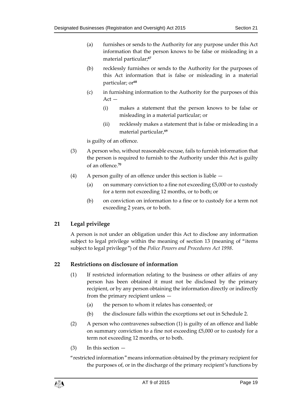- (a) furnishes or sends to the Authority for any purpose under this Act information that the person knows to be false or misleading in a material particular;**<sup>67</sup>**
- (b) recklessly furnishes or sends to the Authority for the purposes of this Act information that is false or misleading in a material particular; or**<sup>68</sup>**
- (c) in furnishing information to the Authority for the purposes of this  $Act -$ 
	- (i) makes a statement that the person knows to be false or misleading in a material particular; or
	- (ii) recklessly makes a statement that is false or misleading in a material particular,**<sup>69</sup>**

is guilty of an offence.

- (3) A person who, without reasonable excuse, fails to furnish information that the person is required to furnish to the Authority under this Act is guilty of an offence.**<sup>70</sup>**
- (4) A person guilty of an offence under this section is liable
	- (a) on summary conviction to a fine not exceeding  $£5,000$  or to custody for a term not exceeding 12 months, or to both; or
	- (b) on conviction on information to a fine or to custody for a term not exceeding 2 years, or to both.

# <span id="page-18-0"></span>**21 Legal privilege**

A person is not under an obligation under this Act to disclose any information subject to legal privilege within the meaning of section 13 (meaning of "items subject to legal privilege") of the *Police Powers and Procedures Act 1998*.

# <span id="page-18-2"></span><span id="page-18-1"></span>**22 Restrictions on disclosure of information**

- (1) If restricted information relating to the business or other affairs of any person has been obtained it must not be disclosed by the primary recipient, or by any person obtaining the information directly or indirectly from the primary recipient unless —
	- (a) the person to whom it relates has consented; or
	- (b) the disclosure falls within the exceptions set out in Schedule 2.
- <span id="page-18-3"></span>(2) A person who contravenes subsection [\(1\)](#page-18-2) is guilty of an offence and liable on summary conviction to a fine not exceeding £5,000 or to custody for a term not exceeding 12 months, or to both.
- $(3)$  In this section  $-$

"restricted information" means information obtained by the primary recipient for the purposes of, or in the discharge of the primary recipient's functions by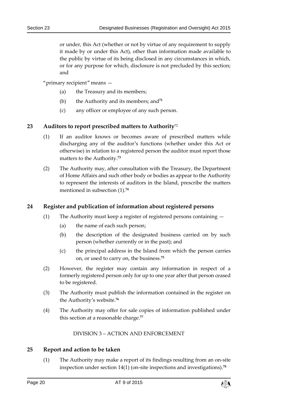or under, this Act (whether or not by virtue of any requirement to supply it made by or under this Act), other than information made available to the public by virtue of its being disclosed in any circumstances in which, or for any purpose for which, disclosure is not precluded by this section; and

"primary recipient" means —

- (a) the Treasury and its members;
- (b) the Authority and its members; and**<sup>71</sup>**
- (c) any officer or employee of any such person.

#### <span id="page-19-4"></span><span id="page-19-0"></span>**23 Auditors to report prescribed matters to Authority**<sup>72</sup>

- (1) If an auditor knows or becomes aware of prescribed matters while discharging any of the auditor's functions (whether under this Act or otherwise) in relation to a registered person the auditor must report those matters to the Authority. **73**
- (2) The Authority may, after consultation with the Treasury, the Department of Home Affairs and such other body or bodies as appear to the Authority to represent the interests of auditors in the Island, prescribe the matters mentioned in subsection [\(1\).](#page-19-4) **74**

#### <span id="page-19-1"></span>**24 Register and publication of information about registered persons**

- (1) The Authority must keep a register of registered persons containing
	- (a) the name of each such person;
	- (b) the description of the designated business carried on by such person (whether currently or in the past); and
	- (c) the principal address in the Island from which the person carries on, or used to carry on, the business.**<sup>75</sup>**
- (2) However, the register may contain any information in respect of a formerly registered person only for up to one year after that person ceased to be registered.
- (3) The Authority must publish the information contained in the register on the Authority's website.**<sup>76</sup>**
- <span id="page-19-2"></span>(4) The Authority may offer for sale copies of information published under this section at a reasonable charge.**<sup>77</sup>**

DIVISION 3 – ACTION AND ENFORCEMENT

#### <span id="page-19-3"></span>**25 Report and action to be taken**

(1) The Authority may make a report of its findings resulting from an on-site inspection under section [14\(1\)](#page-13-6) (on-site inspections and investigations).**<sup>78</sup>**

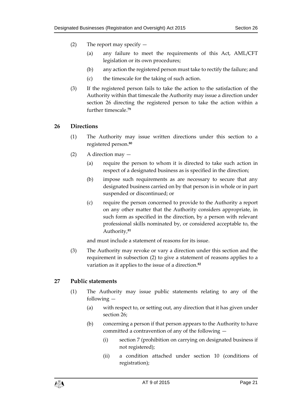- (2) The report may specify  $-$ 
	- (a) any failure to meet the requirements of this Act, AML/CFT legislation or its own procedures;
	- (b) any action the registered person must take to rectify the failure; and
	- (c) the timescale for the taking of such action.
- (3) If the registered person fails to take the action to the satisfaction of the Authority within that timescale the Authority may issue a direction under section [26](#page-20-0) directing the registered person to take the action within a further timescale.**<sup>79</sup>**

#### <span id="page-20-0"></span>**26 Directions**

- (1) The Authority may issue written directions under this section to a registered person.**<sup>80</sup>**
- <span id="page-20-2"></span>(2) A direction may —
	- (a) require the person to whom it is directed to take such action in respect of a designated business as is specified in the direction;
	- (b) impose such requirements as are necessary to secure that any designated business carried on by that person is in whole or in part suspended or discontinued; or
	- (c) require the person concerned to provide to the Authority a report on any other matter that the Authority considers appropriate, in such form as specified in the direction, by a person with relevant professional skills nominated by, or considered acceptable to, the Authority, **81**

and must include a statement of reasons for its issue.

<span id="page-20-3"></span>(3) The Authority may revoke or vary a direction under this section and the requirement in subsection [\(2\)](#page-20-2) to give a statement of reasons applies to a variation as it applies to the issue of a direction.**<sup>82</sup>**

## <span id="page-20-1"></span>**27 Public statements**

- (1) The Authority may issue public statements relating to any of the following —
	- (a) with respect to, or setting out, any direction that it has given under section [26;](#page-20-0)
	- (b) concerning a person if that person appears to the Authority to have committed a contravention of any of the following —
		- (i) section [7](#page-9-1) (prohibition on carrying on designated business if not registered);
		- (ii) a condition attached under section [10](#page-12-0) (conditions of registration);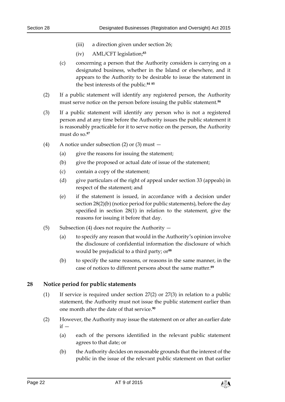- (iii) a direction given under section [26;](#page-20-0)
- (iv) AML/CFT legislation; **83**
- (c) concerning a person that the Authority considers is carrying on a designated business, whether in the Island or elsewhere, and it appears to the Authority to be desirable to issue the statement in the best interests of the public.**<sup>84</sup> <sup>85</sup>**
- <span id="page-21-1"></span>(2) If a public statement will identify any registered person, the Authority must serve notice on the person before issuing the public statement.**<sup>86</sup>**
- <span id="page-21-2"></span>(3) If a public statement will identify any person who is not a registered person and at any time before the Authority issues the public statement it is reasonably practicable for it to serve notice on the person, the Authority must do so.**<sup>87</sup>**
- (4) A notice under subsection [\(2\)](#page-21-1) or [\(3\)](#page-21-2) must
	- (a) give the reasons for issuing the statement;
	- (b) give the proposed or actual date of issue of the statement;
	- (c) contain a copy of the statement;
	- (d) give particulars of the right of appeal under section [33](#page-24-0) (appeals) in respect of the statement; and
	- (e) if the statement is issued, in accordance with a decision under section [28\(2\)\(](#page-21-3)b) (notice period for public statements), before the day specified in section [28\(1\)](#page-21-4) in relation to the statement, give the reasons for issuing it before that day.
- (5) Subsection (4) does not require the Authority  $-$ 
	- (a) to specify any reason that would in the Authority's opinion involve the disclosure of confidential information the disclosure of which would be prejudicial to a third party; or**<sup>88</sup>**
	- (b) to specify the same reasons, or reasons in the same manner, in the case of notices to different persons about the same matter.**<sup>89</sup>**

#### <span id="page-21-4"></span><span id="page-21-0"></span>**28 Notice period for public statements**

- (1) If service is required under section [27\(2\)](#page-21-1) or [27\(3\)](#page-21-2) in relation to a public statement, the Authority must not issue the public statement earlier than one month after the date of that service.**<sup>90</sup>**
- <span id="page-21-3"></span>(2) However, the Authority may issue the statement on or after an earlier date  $if -$ 
	- (a) each of the persons identified in the relevant public statement agrees to that date; or
	- (b) the Authority decides on reasonable grounds that the interest of the public in the issue of the relevant public statement on that earlier

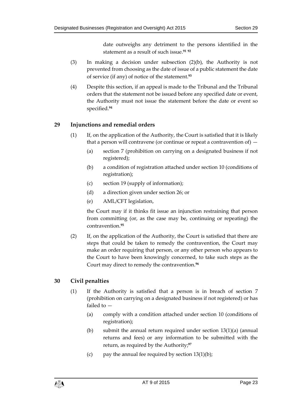date outweighs any detriment to the persons identified in the statement as a result of such issue.**<sup>91</sup> <sup>92</sup>**

- (3) In making a decision under subsection [\(2\)\(](#page-21-3)b), the Authority is not prevented from choosing as the date of issue of a public statement the date of service (if any) of notice of the statement.**<sup>93</sup>**
- (4) Despite this section, if an appeal is made to the Tribunal and the Tribunal orders that the statement not be issued before any specified date or event, the Authority must not issue the statement before the date or event so specified.**<sup>94</sup>**

# <span id="page-22-0"></span>**29 Injunctions and remedial orders**

- (1) If, on the application of the Authority, the Court is satisfied that it is likely that a person will contravene (or continue or repeat a contravention of)  $-$ 
	- (a) section [7](#page-9-1) (prohibition on carrying on a designated business if not registered);
	- (b) a condition of registration attached under section [10](#page-12-0) (conditions of registration);
	- (c) section [19](#page-17-1) (supply of information);
	- (d) a direction given under section [26;](#page-20-0) or
	- (e) AML/CFT legislation,

the Court may if it thinks fit issue an injunction restraining that person from committing (or, as the case may be, continuing or repeating) the contravention.**<sup>95</sup>**

(2) If, on the application of the Authority, the Court is satisfied that there are steps that could be taken to remedy the contravention, the Court may make an order requiring that person, or any other person who appears to the Court to have been knowingly concerned, to take such steps as the Court may direct to remedy the contravention.**<sup>96</sup>**

# <span id="page-22-1"></span>**30 Civil penalties**

- (1) If the Authority is satisfied that a person is in breach of section [7](#page-9-1) (prohibition on carrying on a designated business if not registered) or has failed to —
	- (a) comply with a condition attached under section [10](#page-12-0) (conditions of registration);
	- (b) submit the annual return required under section [13\(1\)\(](#page-13-5)a) (annual returns and fees) or any information to be submitted with the return, as required by the Authority; **97**
	- (c) pay the annual fee required by section  $13(1)(b)$ ;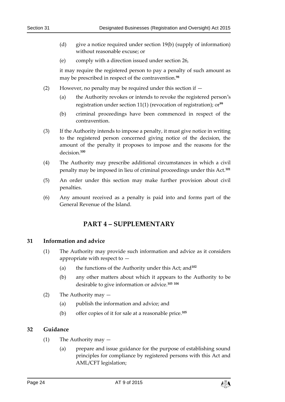- (d) give a notice required under section [19\(](#page-17-1)b) (supply of information) without reasonable excuse; or
- (e) comply with a direction issued under section [26,](#page-20-0)

it may require the registered person to pay a penalty of such amount as may be prescribed in respect of the contravention.**<sup>98</sup>**

- (2) However, no penalty may be required under this section if
	- (a) the Authority revokes or intends to revoke the registered person's registration under section [11\(1\)](#page-12-3) (revocation of registration); or**<sup>99</sup>**
	- (b) criminal proceedings have been commenced in respect of the contravention.
- (3) If the Authority intends to impose a penalty, it must give notice in writing to the registered person concerned giving notice of the decision, the amount of the penalty it proposes to impose and the reasons for the decision.**<sup>100</sup>**
- (4) The Authority may prescribe additional circumstances in which a civil penalty may be imposed in lieu of criminal proceedings under this Act.**<sup>101</sup>**
- (5) An order under this section may make further provision about civil penalties.
- <span id="page-23-0"></span>(6) Any amount received as a penalty is paid into and forms part of the General Revenue of the Island.

# **PART 4 – SUPPLEMENTARY**

## <span id="page-23-1"></span>**31 Information and advice**

- (1) The Authority may provide such information and advice as it considers appropriate with respect to —
	- (a) the functions of the Authority under this Act; and**<sup>102</sup>**
	- (b) any other matters about which it appears to the Authority to be desirable to give information or advice.**<sup>103</sup> <sup>104</sup>**
- (2) The Authority may
	- (a) publish the information and advice; and
	- (b) offer copies of it for sale at a reasonable price.**<sup>105</sup>**

## <span id="page-23-2"></span>**32 Guidance**

- (1) The Authority may
	- (a) prepare and issue guidance for the purpose of establishing sound principles for compliance by registered persons with this Act and AML/CFT legislation;

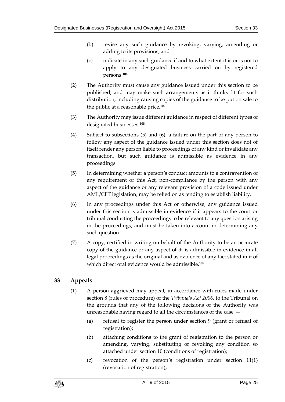- (b) revise any such guidance by revoking, varying, amending or adding to its provisions; and
- (c) indicate in any such guidance if and to what extent it is or is not to apply to any designated business carried on by registered persons.**<sup>106</sup>**
- (2) The Authority must cause any guidance issued under this section to be published, and may make such arrangements as it thinks fit for such distribution, including causing copies of the guidance to be put on sale to the public at a reasonable price.**<sup>107</sup>**
- (3) The Authority may issue different guidance in respect of different types of designated businesses.**<sup>108</sup>**
- (4) Subject to subsections [\(5\)](#page-24-1) and [\(6\),](#page-24-2) a failure on the part of any person to follow any aspect of the guidance issued under this section does not of itself render any person liable to proceedings of any kind or invalidate any transaction, but such guidance is admissible as evidence in any proceedings.
- (5) In determining whether a person's conduct amounts to a contravention of any requirement of this Act, non-compliance by the person with any aspect of the guidance or any relevant provision of a code issued under AML/CFT legislation, may be relied on as tending to establish liability.
- <span id="page-24-2"></span><span id="page-24-1"></span>(6) In any proceedings under this Act or otherwise, any guidance issued under this section is admissible in evidence if it appears to the court or tribunal conducting the proceedings to be relevant to any question arising in the proceedings, and must be taken into account in determining any such question.
- (7) A copy, certified in writing on behalf of the Authority to be an accurate copy of the guidance or any aspect of it, is admissible in evidence in all legal proceedings as the original and as evidence of any fact stated in it of which direct oral evidence would be admissible.**<sup>109</sup>**

# <span id="page-24-0"></span>**33 Appeals**

- (1) A person aggrieved may appeal, in accordance with rules made under section 8 (rules of procedure) of the *Tribunals Act 2006*, to the Tribunal on the grounds that any of the following decisions of the Authority was unreasonable having regard to all the circumstances of the case —
	- (a) refusal to register the person under section [9](#page-11-0) (grant or refusal of registration);
	- (b) attaching conditions to the grant of registration to the person or amending, varying, substituting or revoking any condition so attached under section [10](#page-12-0) (conditions of registration);
	- (c) revocation of the person's registration under section [11\(1\)](#page-12-3) (revocation of registration);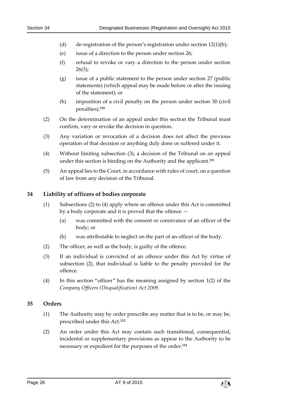- (d) de-registration of the person's registration under section  $12(1)(b)$ ;
- (e) issue of a direction to the person under section [26;](#page-20-0)
- (f) refusal to revoke or vary a direction to the person under section  $26(3);$
- (g) issue of a public statement to the person under section [27](#page-20-1) (public statements) (which appeal may be made before or after the issuing of the statement); or
- (h) imposition of a civil penalty on the person under section [30](#page-22-1) (civil penalties).**<sup>110</sup>**
- (2) On the determination of an appeal under this section the Tribunal must confirm, vary or revoke the decision in question.
- <span id="page-25-2"></span>(3) Any variation or revocation of a decision does not affect the previous operation of that decision or anything duly done or suffered under it.
- (4) Without limiting subsection [\(3\),](#page-25-2) a decision of the Tribunal on an appeal under this section is binding on the Authority and the applicant.**<sup>111</sup>**
- (5) An appeal lies to the Court, in accordance with rules of court, on a question of law from any decision of the Tribunal.

#### <span id="page-25-0"></span>**34 Liability of officers of bodies corporate**

- (1) Subsections [\(2\)](#page-25-3) to [\(4\)](#page-25-4) apply where an offence under this Act is committed by a body corporate and it is proved that the offence —
	- (a) was committed with the consent or connivance of an officer of the body; or
	- (b) was attributable to neglect on the part of an officer of the body.
- <span id="page-25-3"></span>(2) The officer, as well as the body, is guilty of the offence.
- (3) If an individual is convicted of an offence under this Act by virtue of subsection [\(2\),](#page-25-3) that individual is liable to the penalty provided for the offence.
- <span id="page-25-4"></span>(4) In this section "officer" has the meaning assigned by section 1(2) of the *Company Officers (Disqualification) Act 2009*.

#### <span id="page-25-1"></span>**35 Orders**

- (1) The Authority may by order prescribe any matter that is to be, or may be, prescribed under this Act.**<sup>112</sup>**
- (2) An order under this Act may contain such transitional, consequential, incidental or supplementary provisions as appear to the Authority to be necessary or expedient for the purposes of the order.**113**

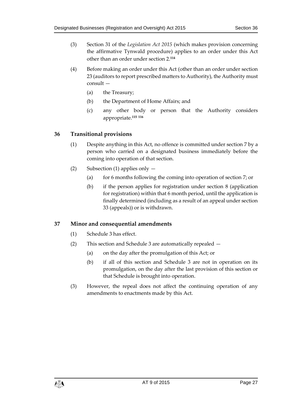- (3) Section 31 of the *Legislation Act 2015* (which makes provision concerning the affirmative Tynwald procedure) applies to an order under this Act other than an order under section 2.**<sup>114</sup>**
- (4) Before making an order under this Act (other than an order under section 23 (auditors to report prescribed matters to Authority), the Authority must consult —
	- (a) the Treasury;
	- (b) the Department of Home Affairs; and
	- (c) any other body or person that the Authority considers appropriate.**<sup>115</sup> <sup>116</sup>**

# <span id="page-26-0"></span>**36 Transitional provisions**

- (1) Despite anything in this Act, no offence is committed under section [7](#page-9-1) by a person who carried on a designated business immediately before the coming into operation of that section.
- (2) Subsection (1) applies only
	- (a) for 6 months following the coming into operation of section [7;](#page-9-1) or
	- (b) if the person applies for registration under section [8](#page-10-0) (application for registration) within that 6 month period, until the application is finally determined (including as a result of an appeal under section [33](#page-24-0) (appeals)) or is withdrawn.

# <span id="page-26-1"></span>**37 Minor and consequential amendments**

- (1) Schedule 3 has effect.
- (2) This section and Schedule 3 are automatically repealed
	- (a) on the day after the promulgation of this Act; or
	- (b) if all of this section and Schedule 3 are not in operation on its promulgation, on the day after the last provision of this section or that Schedule is brought into operation.
- (3) However, the repeal does not affect the continuing operation of any amendments to enactments made by this Act.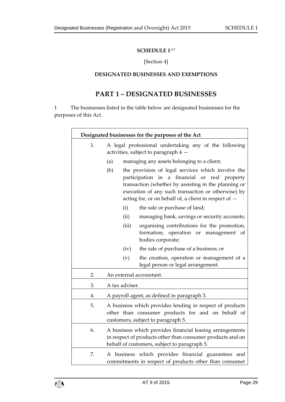## **SCHEDULE 1**<sup>117</sup>

## [Section 4]

#### <span id="page-28-0"></span>**DESIGNATED BUSINESSES AND EXEMPTIONS**

# **PART 1 – DESIGNATED BUSINESSES**

<span id="page-28-1"></span>1 The businesses listed in the table below are designated businesses for the purposes of this Act.

| Designated businesses for the purposes of the Act |                                                                                                                                                                                                                                                                                    |  |
|---------------------------------------------------|------------------------------------------------------------------------------------------------------------------------------------------------------------------------------------------------------------------------------------------------------------------------------------|--|
| 1.                                                | A legal professional undertaking any of the following<br>activities, subject to paragraph 4 -                                                                                                                                                                                      |  |
|                                                   | managing any assets belonging to a client;<br>(a)                                                                                                                                                                                                                                  |  |
|                                                   | (b)<br>the provision of legal services which involve the<br>participation in a financial or real property<br>transaction (whether by assisting in the planning or<br>execution of any such transaction or otherwise) by<br>acting for, or on behalf of, a client in respect of $-$ |  |
|                                                   | (i)<br>the sale or purchase of land;                                                                                                                                                                                                                                               |  |
|                                                   | (ii)<br>managing bank, savings or security accounts;                                                                                                                                                                                                                               |  |
|                                                   | (iii)<br>organising contributions for the promotion,<br>formation, operation or management of<br>bodies corporate;                                                                                                                                                                 |  |
|                                                   | the sale of purchase of a business; or<br>(iv)                                                                                                                                                                                                                                     |  |
|                                                   | (v)<br>the creation, operation or management of a<br>legal person or legal arrangement.                                                                                                                                                                                            |  |
| 2.                                                | An external accountant.                                                                                                                                                                                                                                                            |  |
| 3.                                                | A tax adviser.                                                                                                                                                                                                                                                                     |  |
| 4.                                                | A payroll agent, as defined in paragraph 3.                                                                                                                                                                                                                                        |  |
| 5.                                                | A business which provides lending in respect of products<br>other than consumer products for and on behalf of<br>customers, subject to paragraph 5.                                                                                                                                |  |
| 6.                                                | A business which provides financial leasing arrangements<br>in respect of products other than consumer products and on<br>behalf of customers, subject to paragraph 5.                                                                                                             |  |
| 7.                                                | A business which provides financial guarantees and<br>commitments in respect of products other than consumer                                                                                                                                                                       |  |

 $\mathbf{r}$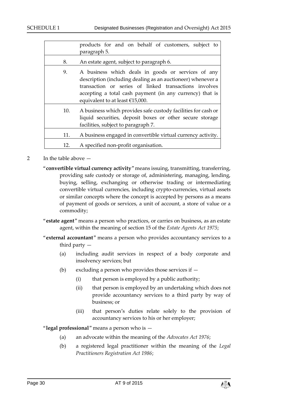|     | products for and on behalf of customers, subject to                                                                                                                                                                                                                       |
|-----|---------------------------------------------------------------------------------------------------------------------------------------------------------------------------------------------------------------------------------------------------------------------------|
|     | paragraph 5.                                                                                                                                                                                                                                                              |
| 8.  | An estate agent, subject to paragraph 6.                                                                                                                                                                                                                                  |
| 9.  | A business which deals in goods or services of any<br>description (including dealing as an auctioneer) whenever a<br>transaction or series of linked transactions involves<br>accepting a total cash payment (in any currency) that is<br>equivalent to at least €15,000. |
| 10. | A business which provides safe custody facilities for cash or<br>liquid securities, deposit boxes or other secure storage<br>facilities, subject to paragraph 7.                                                                                                          |
| 11. | A business engaged in convertible virtual currency activity.                                                                                                                                                                                                              |
| 12. | A specified non-profit organisation.                                                                                                                                                                                                                                      |
|     |                                                                                                                                                                                                                                                                           |

- 2 In the table above
	- "**convertible virtual currency activity**" means issuing, transmitting, transferring, providing safe custody or storage of, administering, managing, lending, buying, selling, exchanging or otherwise trading or intermediating convertible virtual currencies, including crypto-currencies, virtual assets or similar concepts where the concept is accepted by persons as a means of payment of goods or services, a unit of account, a store of value or a commodity;
	- "**estate agent**" means a person who practices, or carries on business, as an estate agent, within the meaning of section 15 of the *Estate Agents Act 1975*;
	- "**external accountant**" means a person who provides accountancy services to a third party —
		- (a) including audit services in respect of a body corporate and insolvency services; but
		- (b) excluding a person who provides those services if  $-$ 
			- (i) that person is employed by a public authority;
			- (ii) that person is employed by an undertaking which does not provide accountancy services to a third party by way of business; or
			- (iii) that person's duties relate solely to the provision of accountancy services to his or her employer;

"**legal professional**" means a person who is —

- (a) an advocate within the meaning of the *Advocates Act 1976*;
- (b) a registered legal practitioner within the meaning of the *Legal Practitioners Registration Act 1986*;

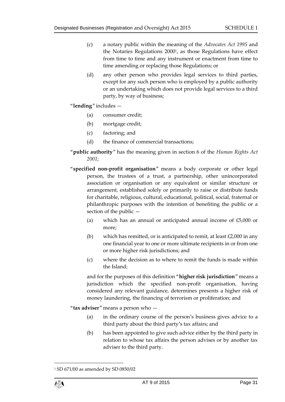- (c) a notary public within the meaning of the *Advocates Act 1995* and the Notaries Regulations 2000<sup>1</sup>, as those Regulations have effect from time to time and any instrument or enactment from time to time amending or replacing those Regulations; or
- (d) any other person who provides legal services to third parties, except for any such person who is employed by a public authority or an undertaking which does not provide legal services to a third party, by way of business;
- "**lending**" includes
	- (a) consumer credit;
	- (b) mortgage credit;
	- (c) factoring; and
	- (d) the finance of commercial transactions;
- "**public authority**" has the meaning given in section 6 of the *Human Rights Act 2001*;
- "**specified non-profit organisation**" means a body corporate or other legal person, the trustees of a trust, a partnership, other unincorporated association or organisation or any equivalent or similar structure or arrangement, established solely or primarily to raise or distribute funds for charitable, religious, cultural, educational, political, social, fraternal or philanthropic purposes with the intention of benefiting the public or a section of the public —
	- (a) which has an annual or anticipated annual income of £5,000 or more;
	- (b) which has remitted, or is anticipated to remit, at least  $£2,000$  in any one financial year to one or more ultimate recipients in or from one or more higher risk jurisdictions; and
	- (c) where the decision as to where to remit the funds is made within the Island;

and for the purposes of this definition "**higher risk jurisdiction**" means a jurisdiction which the specified non-profit organisation, having considered any relevant guidance, determines presents a higher risk of money laundering, the financing of terrorism or proliferation; and

"**tax adviser**" means a person who —

- (a) in the ordinary course of the person's business gives advice to a third party about the third party's tax affairs; and
- (b) has been appointed to give such advice either by the third party in relation to whose tax affairs the person advises or by another tax adviser to the third party.

<sup>1</sup> SD 671/00 as amended by SD 0850/02



1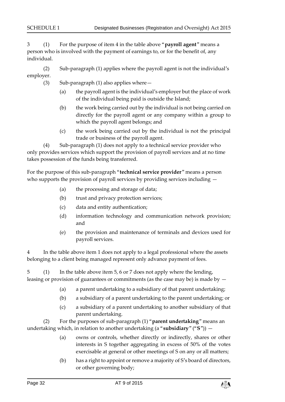3 (1) For the purpose of item 4 in the table above "**payroll agent**" means a person who is involved with the payment of earnings to, or for the benefit of, any individual.

(2) Sub-paragraph (1) applies where the payroll agent is not the individual's employer.

- (3) Sub-paragraph (1) also applies where  $-$ 
	- (a) the payroll agent is the individual's employer but the place of work of the individual being paid is outside the Island;
	- (b) the work being carried out by the individual is not being carried on directly for the payroll agent or any company within a group to which the payroll agent belongs; and
	- (c) the work being carried out by the individual is not the principal trade or business of the payroll agent.

(4) Sub-paragraph (1) does not apply to a technical service provider who only provides services which support the provision of payroll services and at no time takes possession of the funds being transferred.

For the purpose of this sub-paragraph "**technical service provider**" means a person who supports the provision of payroll services by providing services including  $-$ 

- (a) the processing and storage of data;
- (b) trust and privacy protection services;
- (c) data and entity authentication;
- (d) information technology and communication network provision; and
- (e) the provision and maintenance of terminals and devices used for payroll services.

4 In the table above item 1 does not apply to a legal professional where the assets belonging to a client being managed represent only advance payment of fees.

5 (1) In the table above item 5, 6 or 7 does not apply where the lending, leasing or provision of guarantees or commitments (as the case may be) is made by —

- (a) a parent undertaking to a subsidiary of that parent undertaking;
- (b) a subsidiary of a parent undertaking to the parent undertaking; or
- (c) a subsidiary of a parent undertaking to another subsidiary of that parent undertaking.

(2) For the purposes of sub-paragraph (1) "**parent undertaking**" means an undertaking which, in relation to another undertaking (a "**subsidiary**" ("**S**")) —

- (a) owns or controls, whether directly or indirectly, shares or other interests in S together aggregating in excess of 50% of the votes exercisable at general or other meetings of S on any or all matters;
- (b) has a right to appoint or remove a majority of S's board of directors, or other governing body;

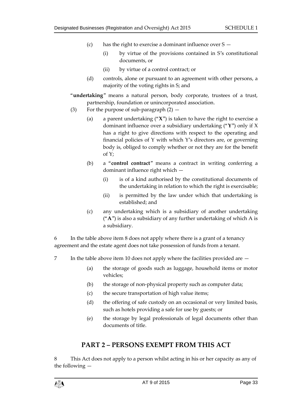- (c) has the right to exercise a dominant influence over  $S -$ 
	- (i) by virtue of the provisions contained in S's constitutional documents, or
	- (ii) by virtue of a control contract; or
- (d) controls, alone or pursuant to an agreement with other persons, a majority of the voting rights in S; and
- "**undertaking**" means a natural person, body corporate, trustees of a trust, partnership, foundation or unincorporated association.
- (3) For the purpose of sub-paragraph  $(2)$ 
	- (a) a parent undertaking ("**X**") is taken to have the right to exercise a dominant influence over a subsidiary undertaking ("**Y**") only if X has a right to give directions with respect to the operating and financial policies of Y with which Y's directors are, or governing body is, obliged to comply whether or not they are for the benefit of Y;
	- (b) a "**control contract**" means a contract in writing conferring a dominant influence right which —
		- (i) is of a kind authorised by the constitutional documents of the undertaking in relation to which the right is exercisable;
		- (ii) is permitted by the law under which that undertaking is established; and
	- (c) any undertaking which is a subsidiary of another undertaking ("**A**") is also a subsidiary of any further undertaking of which A is a subsidiary.

6 In the table above item 8 does not apply where there is a grant of a tenancy agreement and the estate agent does not take possession of funds from a tenant.

- 7 In the table above item 10 does not apply where the facilities provided are  $-$ 
	- (a) the storage of goods such as luggage, household items or motor vehicles;
	- (b) the storage of non-physical property such as computer data;
	- (c) the secure transportation of high value items;
	- (d) the offering of safe custody on an occasional or very limited basis, such as hotels providing a safe for use by guests; or
	- (e) the storage by legal professionals of legal documents other than documents of title.

# **PART 2 – PERSONS EXEMPT FROM THIS ACT**

8 This Act does not apply to a person whilst acting in his or her capacity as any of the following —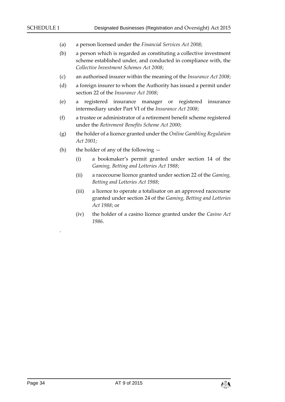- (a) a person licensed under the *Financial Services Act 2008*;
- (b) a person which is regarded as constituting a collective investment scheme established under, and conducted in compliance with, the *Collective Investment Schemes Act 2008*;
- (c) an authorised insurer within the meaning of the *Insurance Act 2008*;
- (d) a foreign insurer to whom the Authority has issued a permit under section 22 of the *Insurance Act 2008*;
- (e) a registered insurance manager or registered insurance intermediary under Part VI of the *Insurance Act 2008*;
- (f) a trustee or administrator of a retirement benefit scheme registered under the *Retirement Benefits Scheme Act 2000*;
- (g) the holder of a licence granted under the *Online Gambling Regulation Act 2001*;
- (h) the holder of any of the following
	- (i) a bookmaker's permit granted under section 14 of the *Gaming, Betting and Lotteries Act 1988*;
	- (ii) a racecourse licence granted under section 22 of the *Gaming, Betting and Lotteries Act 1988*;
	- (iii) a licence to operate a totalisator on an approved racecourse granted under section 24 of the *Gaming, Betting and Lotteries Act 1988*; or
	- (iv) the holder of a casino licence granted under the *Casino Act 1986*.

.

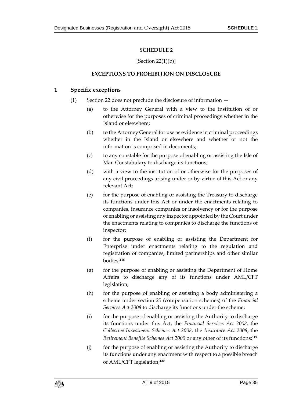## **SCHEDULE 2**

#### $[Section 22(1)(b)]$  $[Section 22(1)(b)]$  $[Section 22(1)(b)]$

#### **EXCEPTIONS TO PROHIBITION ON DISCLOSURE**

### <span id="page-34-2"></span><span id="page-34-1"></span><span id="page-34-0"></span>**1 Specific exceptions**

- (1) Section [22](#page-18-1) does not preclude the disclosure of information
	- (a) to the Attorney General with a view to the institution of or otherwise for the purposes of criminal proceedings whether in the Island or elsewhere;
	- (b) to the Attorney General for use as evidence in criminal proceedings whether in the Island or elsewhere and whether or not the information is comprised in documents;
	- (c) to any constable for the purpose of enabling or assisting the Isle of Man Constabulary to discharge its functions;
	- (d) with a view to the institution of or otherwise for the purposes of any civil proceedings arising under or by virtue of this Act or any relevant Act;
	- (e) for the purpose of enabling or assisting the Treasury to discharge its functions under this Act or under the enactments relating to companies, insurance companies or insolvency or for the purpose of enabling or assisting any inspector appointed by the Court under the enactments relating to companies to discharge the functions of inspector;
	- (f) for the purpose of enabling or assisting the Department for Enterprise under enactments relating to the regulation and registration of companies, limited partnerships and other similar bodies;**<sup>118</sup>**
	- (g) for the purpose of enabling or assisting the Department of Home Affairs to discharge any of its functions under AML/CFT legislation;
	- (h) for the purpose of enabling or assisting a body administering a scheme under section 25 (compensation schemes) of the *Financial Services Act 2008* to discharge its functions under the scheme;
	- (i) for the purpose of enabling or assisting the Authority to discharge its functions under this Act, the *Financial Services Act 2008*, the *Collective Investment Schemes Act 2008*, the *Insurance Act 2008*, the *Retirement Benefits Schemes Act 2000* or any other of its functions;**<sup>119</sup>**
	- (j) for the purpose of enabling or assisting the Authority to discharge its functions under any enactment with respect to a possible breach of AML/CFT legislation; **120**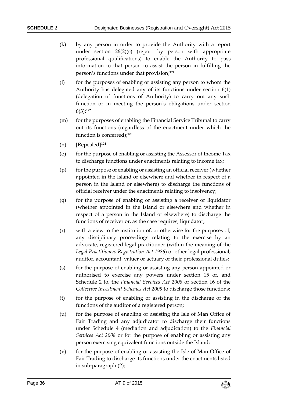- (k) by any person in order to provide the Authority with a report under section [26\(2\)\(](#page-20-2)c) (report by person with appropriate professional qualifications) to enable the Authority to pass information to that person to assist the person in fulfilling the person's functions under that provision;**<sup>121</sup>**
- (l) for the purposes of enabling or assisting any person to whom the Authority has delegated any of its functions under section [6\(1\)](#page-8-3) (delegation of functions of Authority) to carry out any such function or in meeting the person's obligations under section [6\(3\);](#page-8-4) **122**
- (m) for the purposes of enabling the Financial Service Tribunal to carry out its functions (regardless of the enactment under which the function is conferred); **123**
- (n) [Repealed]**<sup>124</sup>**
- (o) for the purpose of enabling or assisting the Assessor of Income Tax to discharge functions under enactments relating to income tax;
- (p) for the purpose of enabling or assisting an official receiver (whether appointed in the Island or elsewhere and whether in respect of a person in the Island or elsewhere) to discharge the functions of official receiver under the enactments relating to insolvency;
- (q) for the purpose of enabling or assisting a receiver or liquidator (whether appointed in the Island or elsewhere and whether in respect of a person in the Island or elsewhere) to discharge the functions of receiver or, as the case requires, liquidator;
- (r) with a view to the institution of, or otherwise for the purposes of, any disciplinary proceedings relating to the exercise by an advocate, registered legal practitioner (within the meaning of the *Legal Practitioners Registration Act 1986*) or other legal professional, auditor, accountant, valuer or actuary of their professional duties;
- (s) for the purpose of enabling or assisting any person appointed or authorised to exercise any powers under section 15 of, and Schedule 2 to, the *Financial Services Act 2008* or section 16 of the *Collective Investment Schemes Act 2008* to discharge those functions;
- (t) for the purpose of enabling or assisting in the discharge of the functions of the auditor of a registered person;
- (u) for the purpose of enabling or assisting the Isle of Man Office of Fair Trading and any adjudicator to discharge their functions under Schedule 4 (mediation and adjudication) to the *Financial Services Act 2008* or for the purpose of enabling or assisting any person exercising equivalent functions outside the Island;
- (v) for the purpose of enabling or assisting the Isle of Man Office of Fair Trading to discharge its functions under the enactments listed in sub-paragraph [\(2\);](#page-36-0)

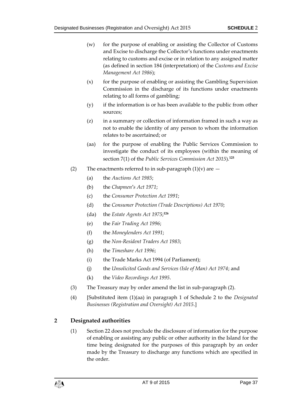- (w) for the purpose of enabling or assisting the Collector of Customs and Excise to discharge the Collector's functions under enactments relating to customs and excise or in relation to any assigned matter (as defined in section 184 (interpretation) of the *Customs and Excise Management Act 1986*);
- $(x)$  for the purpose of enabling or assisting the Gambling Supervision Commission in the discharge of its functions under enactments relating to all forms of gambling;
- (y) if the information is or has been available to the public from other sources;
- (z) in a summary or collection of information framed in such a way as not to enable the identity of any person to whom the information relates to be ascertained; or
- (aa) for the purpose of enabling the Public Services Commission to investigate the conduct of its employees (within the meaning of section 7(1) of the *Public Services Commission Act 2015*). **125**
- <span id="page-36-0"></span>(2) The enactments referred to in sub-paragraph  $(1)(v)$  are  $-$ 
	- (a) the *Auctions Act 1985*;
	- (b) the *Chapmen's Act 1971*;
	- (c) the *Consumer Protection Act 1991*;
	- (d) the *Consumer Protection (Trade Descriptions) Act 1970*;
	- (da) the *Estate Agents Act 1975*; **126**
	- (e) the *Fair Trading Act 1996*;
	- (f) the *Moneylenders Act 1991*;
	- (g) the *Non-Resident Traders Act 1983*;
	- (h) the *Timeshare Act 1996*;
	- (i) the Trade Marks Act 1994 (of Parliament);
	- (j) the *Unsolicited Goods and Services (Isle of Man) Act 1974*; and
	- (k) the *Video Recordings Act 1995*.
- (3) The Treasury may by order amend the list in sub-paragraph [\(2\).](#page-36-0)
- (4) [Substituted item (1)(aa) in paragraph 1 of Schedule 2 to the *Designated Businesses (Registration and Oversight) Act 2015*.]

## <span id="page-36-1"></span>**2 Designated authorities**

(1) Section [22](#page-18-1) does not preclude the disclosure of information for the purpose of enabling or assisting any public or other authority in the Island for the time being designated for the purposes of this paragraph by an order made by the Treasury to discharge any functions which are specified in the order.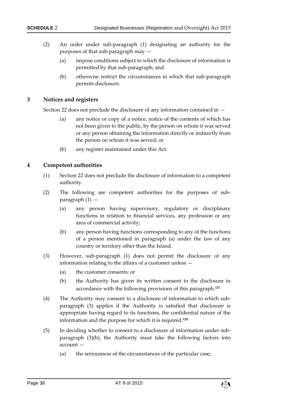- (2) An order under sub-paragraph [\(1\)](#page-36-1) designating an authority for the purposes of that sub-paragraph may —
	- (a) impose conditions subject to which the disclosure of information is permitted by that sub-paragraph; and
	- (b) otherwise restrict the circumstances in which that sub-paragraph permits disclosure.

### **3 Notices and registers**

Section [22](#page-18-1) does not preclude the disclosure of any information contained in —

- (a) any notice or copy of a notice, notice of the contents of which has not been given to the public, by the person on whom it was served or any person obtaining the information directly or indirectly from the person on whom it was served; or
- (b) any register maintained under this Act.

#### <span id="page-37-0"></span>**4 Competent authorities**

- (1) Section [22](#page-18-1) does not preclude the disclosure of information to a competent authority.
- (2) The following are competent authorities for the purposes of subparagraph [\(1\)](#page-37-0) —
	- (a) any person having supervisory, regulatory or disciplinary functions in relation to financial services, any profession or any area of commercial activity;
	- (b) any person having functions corresponding to any of the functions of a person mentioned in paragraph (a) under the law of any country or territory other than the Island.
- <span id="page-37-1"></span>(3) However, sub-paragraph [\(1\)](#page-37-0) does not permit the disclosure of any information relating to the affairs of a customer unless —
	- (a) the customer consents; or
	- (b) the Authority has given its written consent to the disclosure in accordance with the following provisions of this paragraph.**<sup>127</sup>**
- (4) The Authority may consent to a disclosure of information to which subparagraph [\(3\)](#page-37-1) applies if the Authority is satisfied that disclosure is appropriate having regard to its functions, the confidential nature of the information and the purpose for which it is required.**<sup>128</sup>**
- <span id="page-37-2"></span>(5) In deciding whether to consent to a disclosure of information under subparagraph [\(3\)\(](#page-37-1)b), the Authority must take the following factors into account —
	- (a) the seriousness of the circumstances of the particular case;

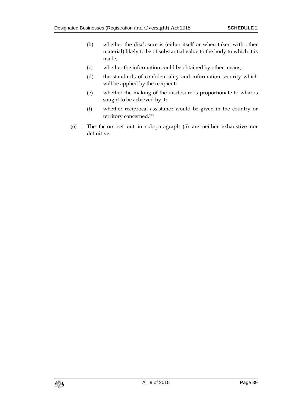- (b) whether the disclosure is (either itself or when taken with other material) likely to be of substantial value to the body to which it is made;
- (c) whether the information could be obtained by other means;
- (d) the standards of confidentiality and information security which will be applied by the recipient;
- (e) whether the making of the disclosure is proportionate to what is sought to be achieved by it;
- (f) whether reciprocal assistance would be given in the country or territory concerned.**<sup>129</sup>**
- (6) The factors set out in sub-paragraph [\(5\)](#page-37-2) are neither exhaustive nor definitive.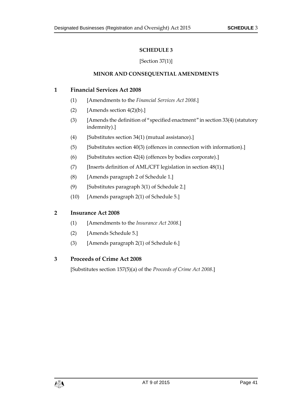### **SCHEDULE 3**

#### [Section [37\(1\)\]](#page-26-1)

#### **MINOR AND CONSEQUENTIAL AMENDMENTS**

#### <span id="page-40-1"></span><span id="page-40-0"></span>**1 Financial Services Act 2008**

- (1) [Amendments to the *Financial Services Act 2008*.]
- (2) [Amends section  $4(2)(b)$ .]
- (3) [Amends the definition of "specified enactment" in section 33(4) (statutory indemnity).]
- (4) [Substitutes section 34(1) (mutual assistance).]
- (5) [Substitutes section  $40(3)$  (offences in connection with information).]
- (6) [Substitutes section 42(4) (offences by bodies corporate).]
- (7) [Inserts definition of AML/CFT legislation in section 48(1).]
- (8) [Amends paragraph 2 of Schedule 1.]
- (9) [Substitutes paragraph 3(1) of Schedule 2.]
- (10) [Amends paragraph 2(1) of Schedule 5.]

## **2 Insurance Act 2008**

- (1) [Amendments to the *Insurance Act 2008*.]
- (2) [Amends Schedule 5.]
- (3) [Amends paragraph 2(1) of Schedule 6.]

## **3 Proceeds of Crime Act 2008**

[Substitutes section 157(5)(a) of the *Proceeds of Crime Act 2008*.]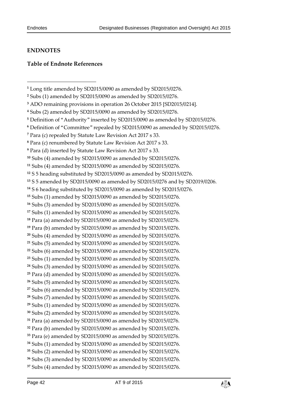-

## <span id="page-41-0"></span>**ENDNOTES**

### <span id="page-41-1"></span>**Table of Endnote References**

```
17 Subs (1) amended by SD2015/0090 as amended by SD2015/0276.
```

```
18 Para (a) amended by SD2015/0090 as amended by SD2015/0276.
```

```
19 Para (b) amended by SD2015/0090 as amended by SD2015/0276.
```

```
20 Subs (4) amended by SD2015/0090 as amended by SD2015/0276.
```

```
21 Subs (5) amended by SD2015/0090 as amended by SD2015/0276.
```

```
22 Subs (6) amended by SD2015/0090 as amended by SD2015/0276.
```

```
23 Subs (1) amended by SD2015/0090 as amended by SD2015/0276.
```

```
24 Subs (3) amended by SD2015/0090 as amended by SD2015/0276.
25 Para (d) amended by SD2015/0090 as amended by SD2015/0276.
```

```
26 Subs (5) amended by SD2015/0090 as amended by SD2015/0276.
```

```
27 Subs (6) amended by SD2015/0090 as amended by SD2015/0276.
```

```
28 Subs (7) amended by SD2015/0090 as amended by SD2015/0276.
```

```
29 Subs (1) amended by SD2015/0090 as amended by SD2015/0276.
30 Subs (2) amended by SD2015/0090 as amended by SD2015/0276.
```

```
31 Para (a) amended by SD2015/0090 as amended by SD2015/0276.
```

```
32 Para (b) amended by SD2015/0090 as amended by SD2015/0276.
```

```
33 Para (e) amended by SD2015/0090 as amended by SD2015/0276.
```

```
34 Subs (1) amended by SD2015/0090 as amended by SD2015/0276.
```

```
35 Subs (2) amended by SD2015/0090 as amended by SD2015/0276.
```

```
36 Subs (3) amended by SD2015/0090 as amended by SD2015/0276.
37 Subs (4) amended by SD2015/0090 as amended by SD2015/0276.
```


Long title amended by SD2015/0090 as amended by SD2015/0276.

Subs (1) amended by SD2015/0090 as amended by SD2015/0276.

ADO remaining provisions in operation 26 October 2015 [SD2015/0214].

Subs (2) amended by SD2015/0090 as amended by SD2015/0276.

Definition of "Authority" inserted by SD2015/0090 as amended by SD2015/0276.

Definition of "Committee" repealed by SD2015/0090 as amended by SD2015/0276.

Para (c) repealed by Statute Law Revision Act 2017 s 33.

Para (c) renumbered by Statute Law Revision Act 2017 s 33.

Para (d) inserted by Statute Law Revision Act 2017 s 33.

Subs (4) amended by SD2015/0090 as amended by SD2015/0276.

Subs (4) amended by SD2015/0090 as amended by SD2015/0276.

S 5 heading substituted by SD2015/0090 as amended by SD2015/0276.

S 5 amended by SD2015/0090 as amended by SD2015/0276 and by SD2019/0206.

S 6 heading substituted by SD2015/0090 as amended by SD2015/0276.

Subs (1) amended by SD2015/0090 as amended by SD2015/0276.

Subs (3) amended by SD2015/0090 as amended by SD2015/0276.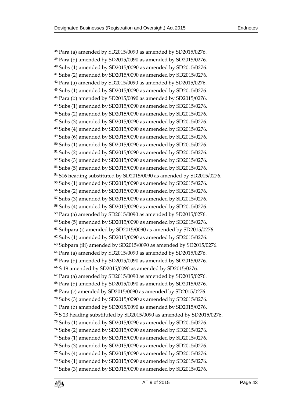$\overline{a}$ 

 Para (a) amended by SD2015/0090 as amended by SD2015/0276. Para (b) amended by SD2015/0090 as amended by SD2015/0276. Subs (1) amended by SD2015/0090 as amended by SD2015/0276. Subs (2) amended by SD2015/0090 as amended by SD2015/0276. Para (a) amended by SD2015/0090 as amended by SD2015/0276. Subs (1) amended by SD2015/0090 as amended by SD2015/0276. Para (b) amended by SD2015/0090 as amended by SD2015/0276. Subs (1) amended by SD2015/0090 as amended by SD2015/0276. Subs (2) amended by SD2015/0090 as amended by SD2015/0276. Subs (3) amended by SD2015/0090 as amended by SD2015/0276. Subs (4) amended by SD2015/0090 as amended by SD2015/0276. Subs (6) amended by SD2015/0090 as amended by SD2015/0276. Subs (1) amended by SD2015/0090 as amended by SD2015/0276. Subs (2) amended by SD2015/0090 as amended by SD2015/0276. Subs (3) amended by SD2015/0090 as amended by SD2015/0276. Subs (5) amended by SD2015/0090 as amended by SD2015/0276. S16 heading substituted by SD2015/0090 as amended by SD2015/0276. Subs (1) amended by SD2015/0090 as amended by SD2015/0276. Subs (2) amended by SD2015/0090 as amended by SD2015/0276. Subs (3) amended by SD2015/0090 as amended by SD2015/0276. Subs (4) amended by SD2015/0090 as amended by SD2015/0276. Para (a) amended by SD2015/0090 as amended by SD2015/0276. Subs (5) amended by SD2015/0090 as amended by SD2015/0276. Subpara (i) amended by SD2015/0090 as amended by SD2015/0276. Subs (1) amended by SD2015/0090 as amended by SD2015/0276. Subpara (iii) amended by SD2015/0090 as amended by SD2015/0276. Para (a) amended by SD2015/0090 as amended by SD2015/0276. Para (b) amended by SD2015/0090 as amended by SD2015/0276. S 19 amended by SD2015/0090 as amended by SD2015/0276. Para (a) amended by SD2015/0090 as amended by SD2015/0276. Para (b) amended by SD2015/0090 as amended by SD2015/0276. Para (c) amended by SD2015/0090 as amended by SD2015/0276. Subs (3) amended by SD2015/0090 as amended by SD2015/0276. Para (b) amended by SD2015/0090 as amended by SD2015/0276. S 23 heading substituted by SD2015/0090 as amended by SD2015/0276. Subs (1) amended by SD2015/0090 as amended by SD2015/0276. Subs (2) amended by SD2015/0090 as amended by SD2015/0276. Subs (1) amended by SD2015/0090 as amended by SD2015/0276. Subs (3) amended by SD2015/0090 as amended by SD2015/0276. Subs (4) amended by SD2015/0090 as amended by SD2015/0276. Subs (1) amended by SD2015/0090 as amended by SD2015/0276. Subs (3) amended by SD2015/0090 as amended by SD2015/0276.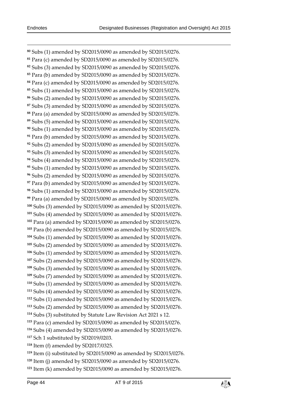-

 Subs (1) amended by SD2015/0090 as amended by SD2015/0276. Para (c) amended by SD2015/0090 as amended by SD2015/0276. Subs (3) amended by SD2015/0090 as amended by SD2015/0276. Para (b) amended by SD2015/0090 as amended by SD2015/0276. Para (c) amended by SD2015/0090 as amended by SD2015/0276. Subs (1) amended by SD2015/0090 as amended by SD2015/0276. Subs (2) amended by SD2015/0090 as amended by SD2015/0276. Subs (3) amended by SD2015/0090 as amended by SD2015/0276. Para (a) amended by SD2015/0090 as amended by SD2015/0276. Subs (5) amended by SD2015/0090 as amended by SD2015/0276. Subs (1) amended by SD2015/0090 as amended by SD2015/0276. Para (b) amended by SD2015/0090 as amended by SD2015/0276. Subs (2) amended by SD2015/0090 as amended by SD2015/0276. Subs (3) amended by SD2015/0090 as amended by SD2015/0276. Subs (4) amended by SD2015/0090 as amended by SD2015/0276. Subs (1) amended by SD2015/0090 as amended by SD2015/0276. Subs (2) amended by SD2015/0090 as amended by SD2015/0276. Para (b) amended by SD2015/0090 as amended by SD2015/0276. Subs (1) amended by SD2015/0090 as amended by SD2015/0276. Para (a) amended by SD2015/0090 as amended by SD2015/0276. Subs (3) amended by SD2015/0090 as amended by SD2015/0276. Subs (4) amended by SD2015/0090 as amended by SD2015/0276. Para (a) amended by SD2015/0090 as amended by SD2015/0276. Para (b) amended by SD2015/0090 as amended by SD2015/0276. Subs (1) amended by SD2015/0090 as amended by SD2015/0276. Subs (2) amended by SD2015/0090 as amended by SD2015/0276. Subs (1) amended by SD2015/0090 as amended by SD2015/0276. Subs (2) amended by SD2015/0090 as amended by SD2015/0276. Subs (3) amended by SD2015/0090 as amended by SD2015/0276. Subs (7) amended by SD2015/0090 as amended by SD2015/0276. Subs (1) amended by SD2015/0090 as amended by SD2015/0276. Subs (4) amended by SD2015/0090 as amended by SD2015/0276. Subs (1) amended by SD2015/0090 as amended by SD2015/0276. Subs (2) amended by SD2015/0090 as amended by SD2015/0276. Subs (3) substituted by Statute Law Revision Act 2021 s 12. Para (c) amended by SD2015/0090 as amended by SD2015/0276. Subs (4) amended by SD2015/0090 as amended by SD2015/0276. Sch 1 substituted by SD2019/0203. Item (f) amended by SD2017/0325. Item (i) substituted by SD2015/0090 as amended by SD2015/0276. Item (j) amended by SD2015/0090 as amended by SD2015/0276.

Item (k) amended by SD2015/0090 as amended by SD2015/0276.